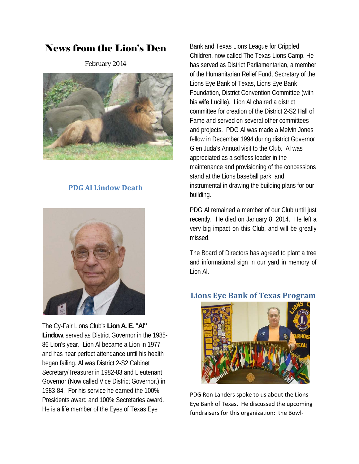# News from the Lion's Den

February 2014



## **PDG Al Lindow Death**



The Cy-Fair Lions Club's **Lion A. E. "Al" Lindow**, served as District Governor in the 1985- 86 Lion's year. Lion Al became a Lion in 1977 and has near perfect attendance until his health began failing. Al was District 2-S2 Cabinet Secretary/Treasurer in 1982-83 and Lieutenant Governor (Now called Vice District Governor.) in 1983-84. For his service he earned the 100% Presidents award and 100% Secretaries award. He is a life member of the Eyes of Texas Eye

Bank and Texas Lions League for Crippled Children, now called The Texas Lions Camp. He has served as District Parliamentarian, a member of the Humanitarian Relief Fund, Secretary of the Lions Eye Bank of Texas, Lions Eye Bank Foundation, District Convention Committee (with his wife Lucille). Lion Al chaired a district committee for creation of the District 2-S2 Hall of Fame and served on several other committees and projects. PDG Al was made a Melvin Jones fellow in December 1994 during district Governor Glen Juda's Annual visit to the Club. Al was appreciated as a selfless leader in the maintenance and provisioning of the concessions stand at the Lions baseball park, and instrumental in drawing the building plans for our building.

PDG Al remained a member of our Club until just recently. He died on January 8, 2014. He left a very big impact on this Club, and will be greatly missed.

The Board of Directors has agreed to plant a tree and informational sign in our yard in memory of Lion Al.

## **Lions Eye Bank of Texas Program**



PDG Ron Landers spoke to us about the Lions Eye Bank of Texas. He discussed the upcoming fundraisers for this organization: the Bowl‐